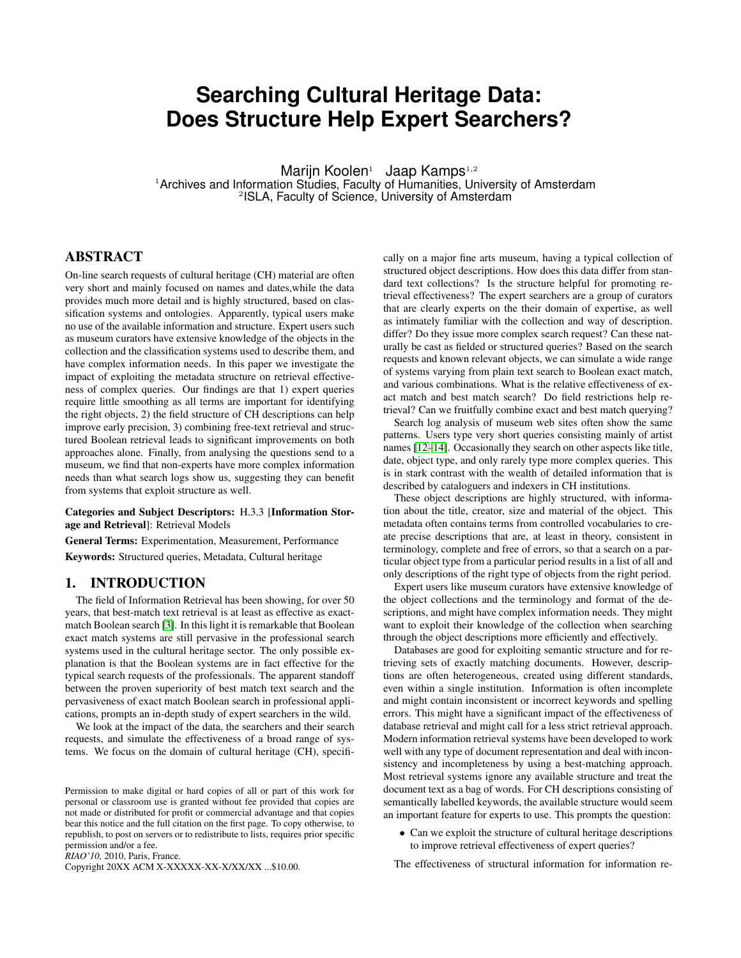# **Searching Cultural Heritage Data: Does Structure Help Expert Searchers?**

Marijn Koolen<sup>1</sup> Jaap Kamps<sup>1,2</sup>

<sup>1</sup>Archives and Information Studies, Faculty of Humanities, University of Amsterdam 2 ISLA, Faculty of Science, University of Amsterdam

# ABSTRACT

On-line search requests of cultural heritage (CH) material are often very short and mainly focused on names and dates,while the data provides much more detail and is highly structured, based on classification systems and ontologies. Apparently, typical users make no use of the available information and structure. Expert users such as museum curators have extensive knowledge of the objects in the collection and the classification systems used to describe them, and have complex information needs. In this paper we investigate the impact of exploiting the metadata structure on retrieval effectiveness of complex queries. Our findings are that 1) expert queries require little smoothing as all terms are important for identifying the right objects, 2) the field structure of CH descriptions can help improve early precision, 3) combining free-text retrieval and structured Boolean retrieval leads to significant improvements on both approaches alone. Finally, from analysing the questions send to a museum, we find that non-experts have more complex information needs than what search logs show us, suggesting they can benefit from systems that exploit structure as well.

Categories and Subject Descriptors: H.3.3 [Information Storage and Retrieval]: Retrieval Models

General Terms: Experimentation, Measurement, Performance Keywords: Structured queries, Metadata, Cultural heritage

#### 1. INTRODUCTION

The field of Information Retrieval has been showing, for over 50 years, that best-match text retrieval is at least as effective as exactmatch Boolean search [\[3\]](#page-3-0). In this light it is remarkable that Boolean exact match systems are still pervasive in the professional search systems used in the cultural heritage sector. The only possible explanation is that the Boolean systems are in fact effective for the typical search requests of the professionals. The apparent standoff between the proven superiority of best match text search and the pervasiveness of exact match Boolean search in professional applications, prompts an in-depth study of expert searchers in the wild.

We look at the impact of the data, the searchers and their search requests, and simulate the effectiveness of a broad range of systems. We focus on the domain of cultural heritage (CH), specifi-

*RIAO'10,* 2010, Paris, France.

Copyright 20XX ACM X-XXXXX-XX-X/XX/XX ...\$10.00.

cally on a major fine arts museum, having a typical collection of structured object descriptions. How does this data differ from standard text collections? Is the structure helpful for promoting retrieval effectiveness? The expert searchers are a group of curators that are clearly experts on the their domain of expertise, as well as intimately familiar with the collection and way of description. differ? Do they issue more complex search request? Can these naturally be cast as fielded or structured queries? Based on the search requests and known relevant objects, we can simulate a wide range of systems varying from plain text search to Boolean exact match, and various combinations. What is the relative effectiveness of exact match and best match search? Do field restrictions help retrieval? Can we fruitfully combine exact and best match querying?

Search log analysis of museum web sites often show the same patterns. Users type very short queries consisting mainly of artist names [\[12–](#page-3-1)[14\]](#page-3-2). Occasionally they search on other aspects like title, date, object type, and only rarely type more complex queries. This is in stark contrast with the wealth of detailed information that is described by cataloguers and indexers in CH institutions.

These object descriptions are highly structured, with information about the title, creator, size and material of the object. This metadata often contains terms from controlled vocabularies to create precise descriptions that are, at least in theory, consistent in terminology, complete and free of errors, so that a search on a particular object type from a particular period results in a list of all and only descriptions of the right type of objects from the right period.

Expert users like museum curators have extensive knowledge of the object collections and the terminology and format of the descriptions, and might have complex information needs. They might want to exploit their knowledge of the collection when searching through the object descriptions more efficiently and effectively.

Databases are good for exploiting semantic structure and for retrieving sets of exactly matching documents. However, descriptions are often heterogeneous, created using different standards, even within a single institution. Information is often incomplete and might contain inconsistent or incorrect keywords and spelling errors. This might have a significant impact of the effectiveness of database retrieval and might call for a less strict retrieval approach. Modern information retrieval systems have been developed to work well with any type of document representation and deal with inconsistency and incompleteness by using a best-matching approach. Most retrieval systems ignore any available structure and treat the document text as a bag of words. For CH descriptions consisting of semantically labelled keywords, the available structure would seem an important feature for experts to use. This prompts the question:

• Can we exploit the structure of cultural heritage descriptions to improve retrieval effectiveness of expert queries?

The effectiveness of structural information for information re-

Permission to make digital or hard copies of all or part of this work for personal or classroom use is granted without fee provided that copies are not made or distributed for profit or commercial advantage and that copies bear this notice and the full citation on the first page. To copy otherwise, to republish, to post on servers or to redistribute to lists, requires prior specific permission and/or a fee.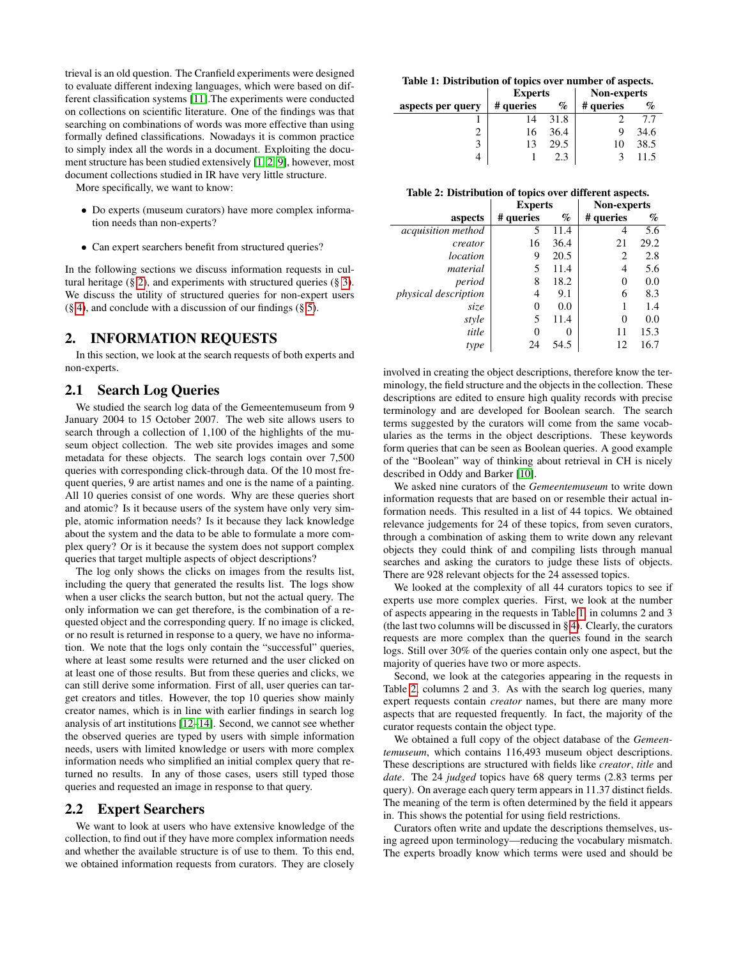trieval is an old question. The Cranfield experiments were designed to evaluate different indexing languages, which were based on different classification systems [\[11\]](#page-3-3).The experiments were conducted on collections on scientific literature. One of the findings was that searching on combinations of words was more effective than using formally defined classifications. Nowadays it is common practice to simply index all the words in a document. Exploiting the document structure has been studied extensively [\[1,](#page-3-4) [2,](#page-3-5) [9\]](#page-3-6), however, most document collections studied in IR have very little structure.

More specifically, we want to know:

- Do experts (museum curators) have more complex information needs than non-experts?
- Can expert searchers benefit from structured queries?

In the following sections we discuss information requests in cultural heritage (§ [2\)](#page-1-0), and experiments with structured queries (§ [3\)](#page-2-0). We discuss the utility of structured queries for non-expert users  $(\S 4)$  $(\S 4)$ , and conclude with a discussion of our findings  $(\S 5)$  $(\S 5)$ .

## <span id="page-1-0"></span>2. INFORMATION REQUESTS

In this section, we look at the search requests of both experts and non-experts.

# 2.1 Search Log Queries

We studied the search log data of the Gemeentemuseum from 9 January 2004 to 15 October 2007. The web site allows users to search through a collection of 1,100 of the highlights of the museum object collection. The web site provides images and some metadata for these objects. The search logs contain over 7,500 queries with corresponding click-through data. Of the 10 most frequent queries, 9 are artist names and one is the name of a painting. All 10 queries consist of one words. Why are these queries short and atomic? Is it because users of the system have only very simple, atomic information needs? Is it because they lack knowledge about the system and the data to be able to formulate a more complex query? Or is it because the system does not support complex queries that target multiple aspects of object descriptions?

The log only shows the clicks on images from the results list, including the query that generated the results list. The logs show when a user clicks the search button, but not the actual query. The only information we can get therefore, is the combination of a requested object and the corresponding query. If no image is clicked, or no result is returned in response to a query, we have no information. We note that the logs only contain the "successful" queries, where at least some results were returned and the user clicked on at least one of those results. But from these queries and clicks, we can still derive some information. First of all, user queries can target creators and titles. However, the top 10 queries show mainly creator names, which is in line with earlier findings in search log analysis of art institutions [\[12](#page-3-1)[–14\]](#page-3-2). Second, we cannot see whether the observed queries are typed by users with simple information needs, users with limited knowledge or users with more complex information needs who simplified an initial complex query that returned no results. In any of those cases, users still typed those queries and requested an image in response to that query.

## <span id="page-1-3"></span>2.2 Expert Searchers

We want to look at users who have extensive knowledge of the collection, to find out if they have more complex information needs and whether the available structure is of use to them. To this end, we obtained information requests from curators. They are closely

<span id="page-1-1"></span>

| Table 1: Distribution of topics over number of aspects. |                |      |             |      |  |  |  |  |
|---------------------------------------------------------|----------------|------|-------------|------|--|--|--|--|
|                                                         | <b>Experts</b> |      | Non-experts |      |  |  |  |  |
| aspects per query                                       | # queries      | $\%$ | # queries   | $\%$ |  |  |  |  |
|                                                         | 14             | 31.8 |             | 77   |  |  |  |  |
|                                                         | 16             | 36.4 |             | 34.6 |  |  |  |  |
| 3                                                       |                | 29.5 | 10          | 38.5 |  |  |  |  |
|                                                         |                |      |             |      |  |  |  |  |

<span id="page-1-2"></span>

|                             | <b>Experts</b> |      | <b>Non-experts</b> |      |
|-----------------------------|----------------|------|--------------------|------|
| aspects                     | # queries      | $\%$ | # queries          | %    |
| acquisition method          | 5              | 11.4 |                    | 5.6  |
| creator                     | 16             | 36.4 | 21                 | 29.2 |
| location                    | 9              | 20.5 | 2                  | 2.8  |
| material                    | 5              | 11.4 | 4                  | 5.6  |
| period                      | 8              | 18.2 | 0                  | 0.0  |
| <i>physical description</i> | 4              | 9.1  | 6                  | 8.3  |
| size                        | 0              | 0.0  |                    | 1.4  |
| style                       | 5              | 11.4 | 0                  | 0.0  |
| title                       | 0              |      | 11                 | 15.3 |
| type                        | 24             | 54.5 | 12                 | 16.7 |

involved in creating the object descriptions, therefore know the terminology, the field structure and the objects in the collection. These descriptions are edited to ensure high quality records with precise terminology and are developed for Boolean search. The search terms suggested by the curators will come from the same vocabularies as the terms in the object descriptions. These keywords form queries that can be seen as Boolean queries. A good example of the "Boolean" way of thinking about retrieval in CH is nicely described in Oddy and Barker [\[10\]](#page-3-9).

We asked nine curators of the *Gemeentemuseum* to write down information requests that are based on or resemble their actual information needs. This resulted in a list of 44 topics. We obtained relevance judgements for 24 of these topics, from seven curators, through a combination of asking them to write down any relevant objects they could think of and compiling lists through manual searches and asking the curators to judge these lists of objects. There are 928 relevant objects for the 24 assessed topics.

We looked at the complexity of all 44 curators topics to see if experts use more complex queries. First, we look at the number of aspects appearing in the requests in Table [1,](#page-1-1) in columns 2 and 3 (the last two columns will be discussed in § [4\)](#page-3-7). Clearly, the curators requests are more complex than the queries found in the search logs. Still over 30% of the queries contain only one aspect, but the majority of queries have two or more aspects.

Second, we look at the categories appearing in the requests in Table [2,](#page-1-2) columns 2 and 3. As with the search log queries, many expert requests contain *creator* names, but there are many more aspects that are requested frequently. In fact, the majority of the curator requests contain the object type.

We obtained a full copy of the object database of the *Gemeentemuseum*, which contains 116,493 museum object descriptions. These descriptions are structured with fields like *creator*, *title* and *date*. The 24 *judged* topics have 68 query terms (2.83 terms per query). On average each query term appears in 11.37 distinct fields. The meaning of the term is often determined by the field it appears in. This shows the potential for using field restrictions.

Curators often write and update the descriptions themselves, using agreed upon terminology—reducing the vocabulary mismatch. The experts broadly know which terms were used and should be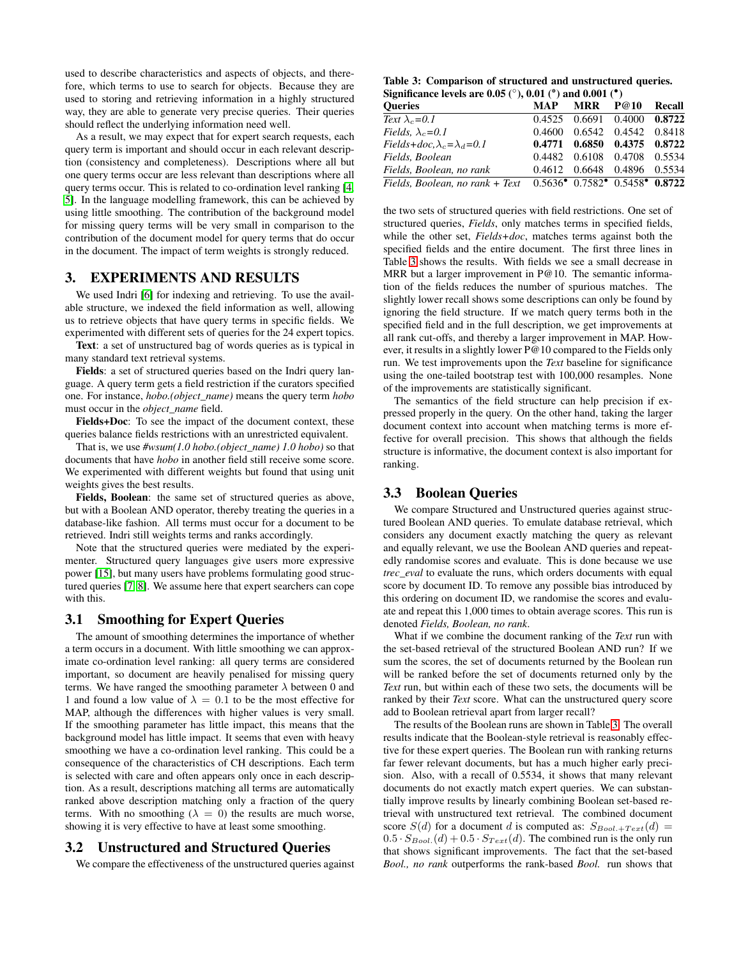used to describe characteristics and aspects of objects, and therefore, which terms to use to search for objects. Because they are used to storing and retrieving information in a highly structured way, they are able to generate very precise queries. Their queries should reflect the underlying information need well.

As a result, we may expect that for expert search requests, each query term is important and should occur in each relevant description (consistency and completeness). Descriptions where all but one query terms occur are less relevant than descriptions where all query terms occur. This is related to co-ordination level ranking [\[4,](#page-3-10) [5\]](#page-3-11). In the language modelling framework, this can be achieved by using little smoothing. The contribution of the background model for missing query terms will be very small in comparison to the contribution of the document model for query terms that do occur in the document. The impact of term weights is strongly reduced.

# <span id="page-2-0"></span>3. EXPERIMENTS AND RESULTS

We used Indri [\[6\]](#page-3-12) for indexing and retrieving. To use the available structure, we indexed the field information as well, allowing us to retrieve objects that have query terms in specific fields. We experimented with different sets of queries for the 24 expert topics.

Text: a set of unstructured bag of words queries as is typical in many standard text retrieval systems.

Fields: a set of structured queries based on the Indri query language. A query term gets a field restriction if the curators specified one. For instance, *hobo.(object\_name)* means the query term *hobo* must occur in the *object\_name* field.

Fields+Doc: To see the impact of the document context, these queries balance fields restrictions with an unrestricted equivalent.

That is, we use *#wsum(1.0 hobo.(object\_name) 1.0 hobo)* so that documents that have *hobo* in another field still receive some score. We experimented with different weights but found that using unit weights gives the best results.

Fields, Boolean: the same set of structured queries as above, but with a Boolean AND operator, thereby treating the queries in a database-like fashion. All terms must occur for a document to be retrieved. Indri still weights terms and ranks accordingly.

Note that the structured queries were mediated by the experimenter. Structured query languages give users more expressive power [\[15\]](#page-3-13), but many users have problems formulating good structured queries [\[7,](#page-3-14) [8\]](#page-3-15). We assume here that expert searchers can cope with this.

#### 3.1 Smoothing for Expert Queries

The amount of smoothing determines the importance of whether a term occurs in a document. With little smoothing we can approximate co-ordination level ranking: all query terms are considered important, so document are heavily penalised for missing query terms. We have ranged the smoothing parameter  $\lambda$  between 0 and 1 and found a low value of  $\lambda = 0.1$  to be the most effective for MAP, although the differences with higher values is very small. If the smoothing parameter has little impact, this means that the background model has little impact. It seems that even with heavy smoothing we have a co-ordination level ranking. This could be a consequence of the characteristics of CH descriptions. Each term is selected with care and often appears only once in each description. As a result, descriptions matching all terms are automatically ranked above description matching only a fraction of the query terms. With no smoothing ( $\lambda = 0$ ) the results are much worse, showing it is very effective to have at least some smoothing.

# 3.2 Unstructured and Structured Queries

We compare the effectiveness of the unstructured queries against

<span id="page-2-1"></span>Table 3: Comparison of structured and unstructured queries. Significance levels are  $0.05$  ( $\degree$ ),  $0.01$  ( $\degree$ ) and  $0.001$  ( $\degree$ )

| Oueries                                                                                             |  | MAP MRR P@10 Recall         |  |
|-----------------------------------------------------------------------------------------------------|--|-----------------------------|--|
| Text $\lambda_c = 0.1$                                                                              |  | 0.4525 0.6691 0.4000 0.8722 |  |
| Fields, $\lambda_c = 0.1$                                                                           |  | 0.4600 0.6542 0.4542 0.8418 |  |
| Fields+doc, $\lambda_c = \lambda_d = 0.1$                                                           |  | 0.4771 0.6850 0.4375 0.8722 |  |
| Fields, Boolean                                                                                     |  | 0.4482 0.6108 0.4708 0.5534 |  |
| Fields, Boolean, no rank                                                                            |  | 0.4612 0.6648 0.4896 0.5534 |  |
| Fields, Boolean, no rank + Text  0.5636 <sup>•</sup> 0.7582 <sup>•</sup> 0.5458 <sup>•</sup> 0.8722 |  |                             |  |

the two sets of structured queries with field restrictions. One set of structured queries, *Fields*, only matches terms in specified fields, while the other set, *Fields+doc*, matches terms against both the specified fields and the entire document. The first three lines in Table [3](#page-2-1) shows the results. With fields we see a small decrease in MRR but a larger improvement in P@10. The semantic information of the fields reduces the number of spurious matches. The slightly lower recall shows some descriptions can only be found by ignoring the field structure. If we match query terms both in the specified field and in the full description, we get improvements at all rank cut-offs, and thereby a larger improvement in MAP. However, it results in a slightly lower P@10 compared to the Fields only run. We test improvements upon the *Text* baseline for significance using the one-tailed bootstrap test with 100,000 resamples. None of the improvements are statistically significant.

The semantics of the field structure can help precision if expressed properly in the query. On the other hand, taking the larger document context into account when matching terms is more effective for overall precision. This shows that although the fields structure is informative, the document context is also important for ranking.

#### 3.3 Boolean Queries

We compare Structured and Unstructured queries against structured Boolean AND queries. To emulate database retrieval, which considers any document exactly matching the query as relevant and equally relevant, we use the Boolean AND queries and repeatedly randomise scores and evaluate. This is done because we use *trec\_eval* to evaluate the runs, which orders documents with equal score by document ID. To remove any possible bias introduced by this ordering on document ID, we randomise the scores and evaluate and repeat this 1,000 times to obtain average scores. This run is denoted *Fields, Boolean, no rank*.

What if we combine the document ranking of the *Text* run with the set-based retrieval of the structured Boolean AND run? If we sum the scores, the set of documents returned by the Boolean run will be ranked before the set of documents returned only by the *Text* run, but within each of these two sets, the documents will be ranked by their *Text* score. What can the unstructured query score add to Boolean retrieval apart from larger recall?

The results of the Boolean runs are shown in Table [3.](#page-2-1) The overall results indicate that the Boolean-style retrieval is reasonably effective for these expert queries. The Boolean run with ranking returns far fewer relevant documents, but has a much higher early precision. Also, with a recall of 0.5534, it shows that many relevant documents do not exactly match expert queries. We can substantially improve results by linearly combining Boolean set-based retrieval with unstructured text retrieval. The combined document score  $S(d)$  for a document d is computed as:  $S_{Bool, \pm Text}(d)$  =  $0.5 \cdot S_{Bool.}(d) + 0.5 \cdot S_{Text}(d)$ . The combined run is the only run that shows significant improvements. The fact that the set-based *Bool., no rank* outperforms the rank-based *Bool.* run shows that